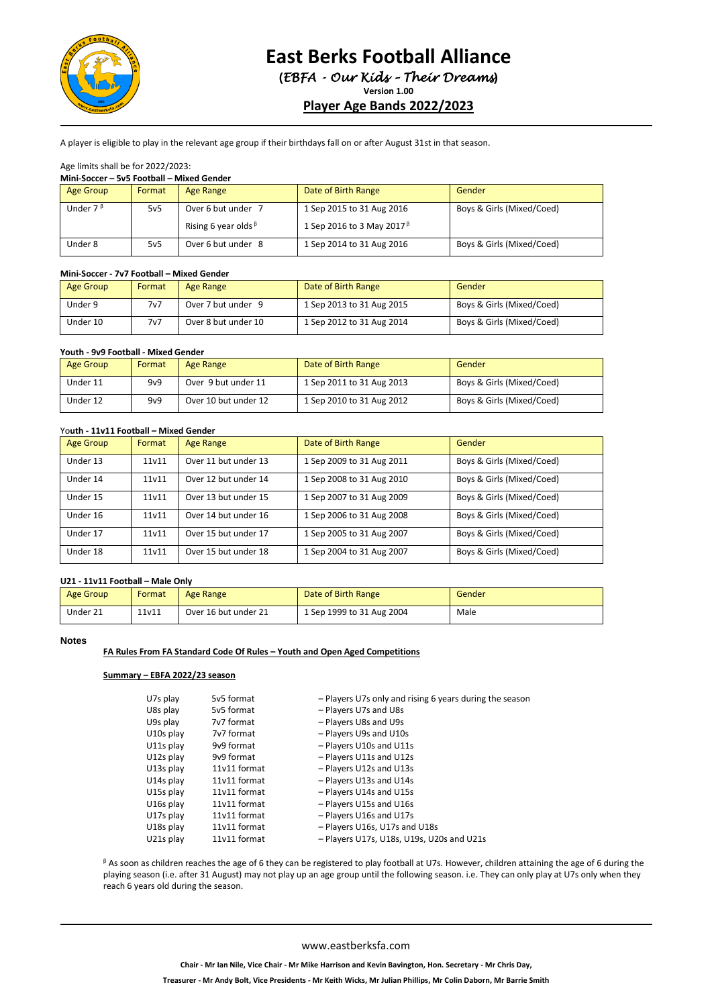

# **East Berks Football Alliance**

**(***EBFA - Our Kids – Their Dreams***)**

**Version 1.00**

# **Player Age Bands 2022/2023**

**1** A player is eligible to play in the relevant age group if their birthdays fall on or after August 31st in that season.

#### Age limits shall be for 2022/2023: **Mini-Soccer – 5v5 Football – Mixed Gender**

| ivilili-30CCEI – 3V3 FOOLDAII – IVIIAEU GEIIUEI |                 |                            |                                  |                           |
|-------------------------------------------------|-----------------|----------------------------|----------------------------------|---------------------------|
| Age Group                                       | Format          | Age Range                  | Date of Birth Range              | Gender                    |
| Under $7^{\beta}$                               | 5v5             | Over 6 but under 7         | 1 Sep 2015 to 31 Aug 2016        | Boys & Girls (Mixed/Coed) |
|                                                 |                 | Rising 6 year olds $\beta$ | 1 Sep 2016 to 3 May 2017 $\beta$ |                           |
| Under 8                                         | 5v <sub>5</sub> | Over 6 but under 8         | 1 Sep 2014 to 31 Aug 2016        | Boys & Girls (Mixed/Coed) |

#### **Mini-Soccer - 7v7 Football – Mixed Gender**

| Age Group | Format | Age Range           | Date of Birth Range       | Gender                    |
|-----------|--------|---------------------|---------------------------|---------------------------|
| Under 9   | 7v7    | Over 7 but under 9  | 1 Sep 2013 to 31 Aug 2015 | Boys & Girls (Mixed/Coed) |
| Under 10  | 7v7    | Over 8 but under 10 | 1 Sep 2012 to 31 Aug 2014 | Boys & Girls (Mixed/Coed) |

#### **Youth - 9v9 Football - Mixed Gender**

| <b>Age Group</b> | Format | Age Range            | Date of Birth Range       | Gender                    |
|------------------|--------|----------------------|---------------------------|---------------------------|
| Under 11         | 9v9    | Over 9 but under 11  | 1 Sep 2011 to 31 Aug 2013 | Boys & Girls (Mixed/Coed) |
| Under 12         | 9v9    | Over 10 but under 12 | 1 Sep 2010 to 31 Aug 2012 | Boys & Girls (Mixed/Coed) |

#### Yo**uth - 11v11 Football – Mixed Gender**

| Age Group | Format | Age Range            | Date of Birth Range       | Gender                    |
|-----------|--------|----------------------|---------------------------|---------------------------|
| Under 13  | 11v11  | Over 11 but under 13 | 1 Sep 2009 to 31 Aug 2011 | Boys & Girls (Mixed/Coed) |
| Under 14  | 11v11  | Over 12 but under 14 | 1 Sep 2008 to 31 Aug 2010 | Boys & Girls (Mixed/Coed) |
| Under 15  | 11v11  | Over 13 but under 15 | 1 Sep 2007 to 31 Aug 2009 | Boys & Girls (Mixed/Coed) |
| Under 16  | 11v11  | Over 14 but under 16 | 1 Sep 2006 to 31 Aug 2008 | Boys & Girls (Mixed/Coed) |
| Under 17  | 11v11  | Over 15 but under 17 | 1 Sep 2005 to 31 Aug 2007 | Boys & Girls (Mixed/Coed) |
| Under 18  | 11v11  | Over 15 but under 18 | 1 Sep 2004 to 31 Aug 2007 | Boys & Girls (Mixed/Coed) |

### **U21 - 11v11 Football – Male Only**

| <b>Age Group</b> | Format | Age Range            | Date of Birth Range       | Gender |
|------------------|--------|----------------------|---------------------------|--------|
| Under 21         | 11v11  | Over 16 but under 21 | 1 Sep 1999 to 31 Aug 2004 | Male   |

#### **Notes**

### **FA Rules From FA Standard Code Of Rules – Youth and Open Aged Competitions**

#### **Summary – EBFA 2022/23 season**

| U7s play  | 5v5 format   | - Players U7s only and rising 6 years during the season |
|-----------|--------------|---------------------------------------------------------|
| U8s play  | 5v5 format   | - Players U7s and U8s                                   |
| U9s play  | 7v7 format   | - Players U8s and U9s                                   |
| U10s play | 7v7 format   | - Players U9s and U10s                                  |
| U11s play | 9v9 format   | - Players U10s and U11s                                 |
| U12s play | 9v9 format   | - Players U11s and U12s                                 |
| U13s play | 11v11 format | - Players U12s and U13s                                 |
| U14s play | 11v11 format | - Players U13s and U14s                                 |
| U15s play | 11v11 format | - Players U14s and U15s                                 |
| U16s play | 11v11 format | - Players U15s and U16s                                 |
| U17s play | 11v11 format | - Players U16s and U17s                                 |
| U18s play | 11v11 format | - Players U16s, U17s and U18s                           |
| U21s play | 11v11 format | - Players U17s, U18s, U19s, U20s and U21s               |
|           |              |                                                         |

<sup>β</sup> As soon as children reaches the age of 6 they can be registered to play football at U7s. However, children attaining the age of 6 during the playing season (i.e. after 31 August) may not play up an age group until the following season. i.e. They can only play at U7s only when they reach 6 years old during the season.

#### www.eastberksfa.com

**Treasurer - Mr Andy Bolt, Vice Presidents - Mr Keith Wicks, Mr Julian Phillips, Mr Colin Daborn, Mr Barrie Smith**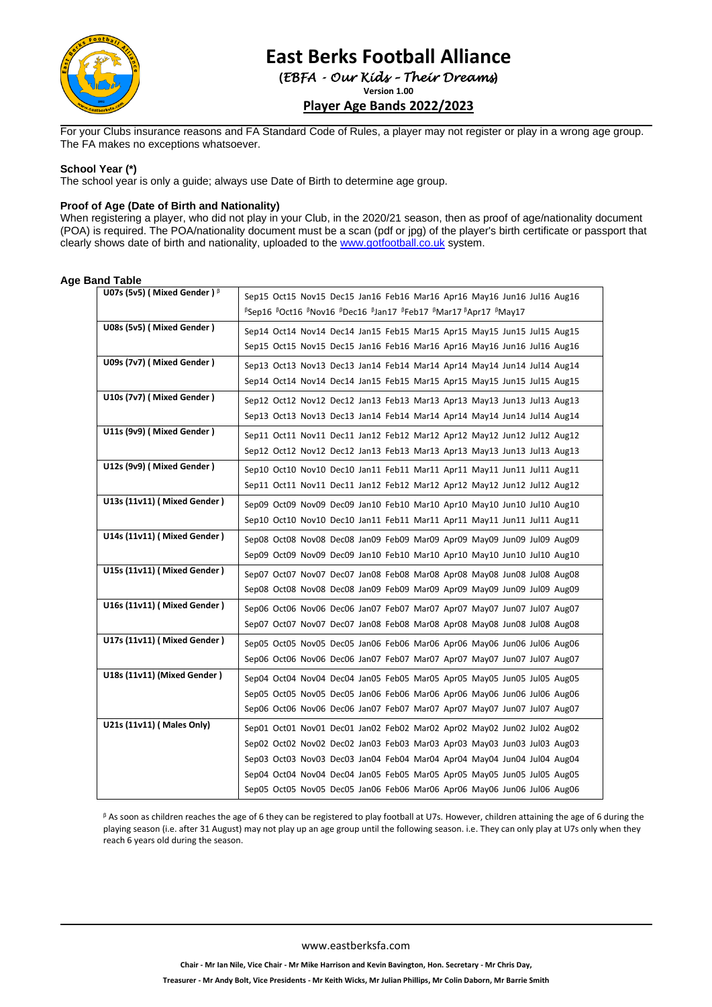

# **East Berks Football Alliance (***EBFA - Our Kids – Their Dreams***)**

**Version 1.00**

# **Player Age Bands 2022/2023**

For your Clubs insurance reasons and FA Standard Code of Rules, a player may not register or play in a wrong age group. The FA makes no exceptions whatsoever.

#### **School Year (\*)**

The school year is only a guide; always use Date of Birth to determine age group.

#### **Proof of Age (Date of Birth and Nationality)**

When registering a player, who did not play in your Club, in the 2020/21 season, then as proof of age/nationality document (POA) is required. The POA/nationality document must be a scan (pdf or jpg) of the player's birth certificate or passport that clearly shows date of birth and nationality, uploaded to th[e www.gotfootball.co.uk](http://www.gotfootball.co.uk/) system.

## **Age Band Table**

| U07s (5v5) ( Mixed Gender ) $\beta$ | Sep15 Oct15 Nov15 Dec15 Jan16 Feb16 Mar16 Apr16 May16 Jun16 Jul16 Aug16                                                                            |
|-------------------------------------|----------------------------------------------------------------------------------------------------------------------------------------------------|
|                                     | <sup>B</sup> Sep16 BOct16 BNov16 BDec16 BJan17 BFeb17 BMar17 BApr17 BMay17                                                                         |
| U08s (5v5) (Mixed Gender)           | Sep14 Oct14 Nov14 Dec14 Jan15 Feb15 Mar15 Apr15 May15 Jun15 Jul15 Aug15                                                                            |
|                                     | Sep15 Oct15 Nov15 Dec15 Jan16 Feb16 Mar16 Apr16 May16 Jun16 Jul16 Aug16                                                                            |
| U09s (7v7) (Mixed Gender)           |                                                                                                                                                    |
|                                     | Sep13 Oct13 Nov13 Dec13 Jan14 Feb14 Mar14 Apr14 May14 Jun14 Jul14 Aug14                                                                            |
|                                     | Sep14 Oct14 Nov14 Dec14 Jan15 Feb15 Mar15 Apr15 May15 Jun15 Jul15 Aug15                                                                            |
| U10s (7v7) (Mixed Gender)           | Sep12 Oct12 Nov12 Dec12 Jan13 Feb13 Mar13 Apr13 May13 Jun13 Jul13 Aug13                                                                            |
|                                     | Sep13 Oct13 Nov13 Dec13 Jan14 Feb14 Mar14 Apr14 May14 Jun14 Jul14 Aug14                                                                            |
| U11s (9v9) (Mixed Gender)           | Sep11 Oct11 Nov11 Dec11 Jan12 Feb12 Mar12 Apr12 May12 Jun12 Jul12 Aug12                                                                            |
|                                     | Sep12 Oct12 Nov12 Dec12 Jan13 Feb13 Mar13 Apr13 May13 Jun13 Jul13 Aug13                                                                            |
| U12s (9v9) (Mixed Gender)           | Sep10 Oct10 Nov10 Dec10 Jan11 Feb11 Mar11 Apr11 May11 Jun11 Jul11 Aug11                                                                            |
|                                     | Sep11 Oct11 Nov11 Dec11 Jan12 Feb12 Mar12 Apr12 May12 Jun12 Jul12 Aug12                                                                            |
| U13s (11v11) (Mixed Gender)         | Sep09 Oct09 Nov09 Dec09 Jan10 Feb10 Mar10 Apr10 May10 Jun10 Jul10 Aug10                                                                            |
|                                     | Sep10 Oct10 Nov10 Dec10 Jan11 Feb11 Mar11 Apr11 May11 Jun11 Jul11 Aug11                                                                            |
| U14s (11v11) (Mixed Gender)         |                                                                                                                                                    |
|                                     | Sep08 Oct08 Nov08 Dec08 Jan09 Feb09 Mar09 Apr09 May09 Jun09 Jul09 Aug09                                                                            |
|                                     | Sep09 Oct09 Nov09 Dec09 Jan10 Feb10 Mar10 Apr10 May10 Jun10 Jul10 Aug10                                                                            |
| U15s (11v11) (Mixed Gender)         | Sep07 Oct07 Nov07 Dec07 Jan08 Feb08 Mar08 Apr08 May08 Jun08 Jul08 Aug08                                                                            |
|                                     | Sep08 Oct08 Nov08 Dec08 Jan09 Feb09 Mar09 Apr09 May09 Jun09 Jul09 Aug09                                                                            |
| U16s (11v11) (Mixed Gender)         | Sep06 Oct06 Nov06 Dec06 Jan07 Feb07 Mar07 Apr07 May07 Jun07 Jul07 Aug07                                                                            |
|                                     | Sep07 Oct07 Nov07 Dec07 Jan08 Feb08 Mar08 Apr08 May08 Jun08 Jul08 Aug08                                                                            |
| U17s (11v11) (Mixed Gender)         | Sep05 Oct05 Nov05 Dec05 Jan06 Feb06 Mar06 Apr06 May06 Jun06 Jul06 Aug06                                                                            |
|                                     | Sep06 Oct06 Nov06 Dec06 Jan07 Feb07 Mar07 Apr07 May07 Jun07 Jul07 Aug07                                                                            |
| U18s (11v11) (Mixed Gender)         | Sep04 Oct04 Nov04 Dec04 Jan05 Feb05 Mar05 Apr05 May05 Jun05 Jul05 Aug05                                                                            |
|                                     | Sep05 Oct05 Nov05 Dec05 Jan06 Feb06 Mar06 Apr06 May06 Jun06 Jul06 Aug06                                                                            |
|                                     | Sep06 Oct06 Nov06 Dec06 Jan07 Feb07 Mar07 Apr07 May07 Jun07 Jul07 Aug07                                                                            |
| U21s (11v11) ( Males Only)          |                                                                                                                                                    |
|                                     | Sep01 Oct01 Nov01 Dec01 Jan02 Feb02 Mar02 Apr02 May02 Jun02 Jul02 Aug02<br>Sep02 Oct02 Nov02 Dec02 Jan03 Feb03 Mar03 Apr03 May03 Jun03 Jul03 Aug03 |
|                                     | Sep03 Oct03 Nov03 Dec03 Jan04 Feb04 Mar04 Apr04 May04 Jun04 Jul04 Aug04                                                                            |
|                                     | Sep04 Oct04 Nov04 Dec04 Jan05 Feb05 Mar05 Apr05 May05 Jun05 Jul05 Aug05                                                                            |
|                                     | Sep05 Oct05 Nov05 Dec05 Jan06 Feb06 Mar06 Apr06 May06 Jun06 Jul06 Aug06                                                                            |
|                                     |                                                                                                                                                    |

<sup>β</sup> As soon as children reaches the age of 6 they can be registered to play football at U7s. However, children attaining the age of 6 during the playing season (i.e. after 31 August) may not play up an age group until the following season. i.e. They can only play at U7s only when they reach 6 years old during the season.

www.eastberksfa.com